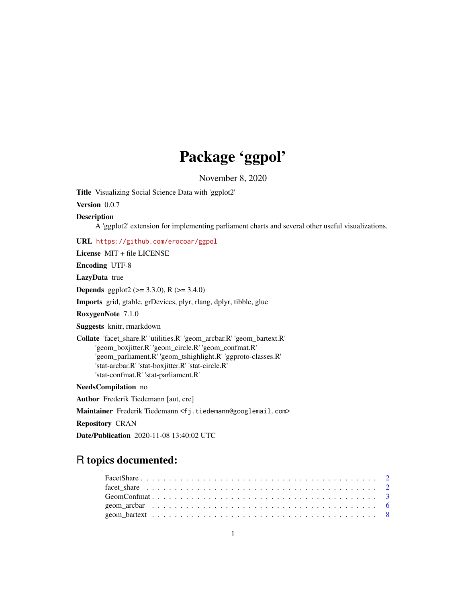# Package 'ggpol'

November 8, 2020

<span id="page-0-0"></span>Title Visualizing Social Science Data with 'ggplot2'

Version 0.0.7

#### Description

A 'ggplot2' extension for implementing parliament charts and several other useful visualizations.

URL <https://github.com/erocoar/ggpol>

License MIT + file LICENSE

Encoding UTF-8

LazyData true

**Depends** ggplot2 ( $>= 3.3.0$ ), R ( $>= 3.4.0$ )

Imports grid, gtable, grDevices, plyr, rlang, dplyr, tibble, glue

RoxygenNote 7.1.0

Suggests knitr, rmarkdown

Collate 'facet\_share.R' 'utilities.R' 'geom\_arcbar.R' 'geom\_bartext.R' 'geom\_boxjitter.R' 'geom\_circle.R' 'geom\_confmat.R' 'geom\_parliament.R' 'geom\_tshighlight.R' 'ggproto-classes.R' 'stat-arcbar.R' 'stat-boxjitter.R' 'stat-circle.R' 'stat-confmat.R' 'stat-parliament.R'

NeedsCompilation no

Author Frederik Tiedemann [aut, cre]

Maintainer Frederik Tiedemann <fj.tiedemann@googlemail.com>

Repository CRAN

Date/Publication 2020-11-08 13:40:02 UTC

# R topics documented: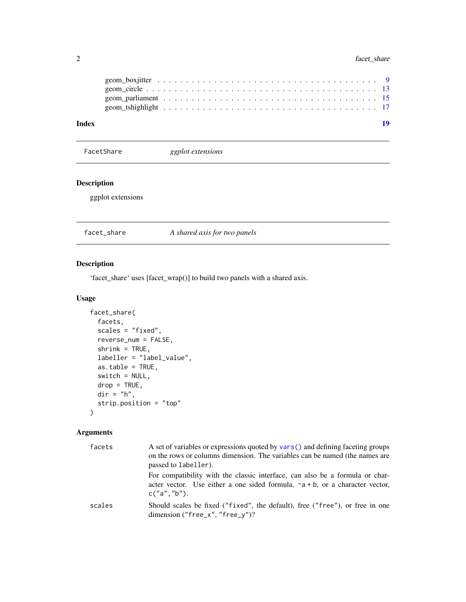<span id="page-1-0"></span>

| Index |  |  |  |  |  |  |  |  |  |  |  |  |  |  |
|-------|--|--|--|--|--|--|--|--|--|--|--|--|--|--|
|       |  |  |  |  |  |  |  |  |  |  |  |  |  |  |
|       |  |  |  |  |  |  |  |  |  |  |  |  |  |  |
|       |  |  |  |  |  |  |  |  |  |  |  |  |  |  |
|       |  |  |  |  |  |  |  |  |  |  |  |  |  |  |

FacetShare *ggplot extensions*

#### Description

ggplot extensions

A shared axis for two panels

#### Description

'facet\_share' uses [facet\_wrap()] to build two panels with a shared axis.

#### Usage

```
facet_share(
  facets,
  scales = "fixed",
 reverse_num = FALSE,
  shrink = TRUE,labeller = "label_value",
  as.table = TRUE,switch = NULL,
 drop = TRUE,dir = "h",strip.position = "top"
\mathcal{L}
```

| facets | A set of variables or expressions quoted by vars () and defining faceting groups<br>on the rows or columns dimension. The variables can be named (the names are<br>passed to labeller). |
|--------|-----------------------------------------------------------------------------------------------------------------------------------------------------------------------------------------|
|        | For compatibility with the classic interface, can also be a formula or char-<br>acter vector. Use either a one sided formula, $\sim a + b$ , or a character vector,<br>c("a", "b").     |
| scales | Should scales be fixed ("fixed", the default), free ("free"), or free in one<br>dimension ("free_x", "free_y")?                                                                         |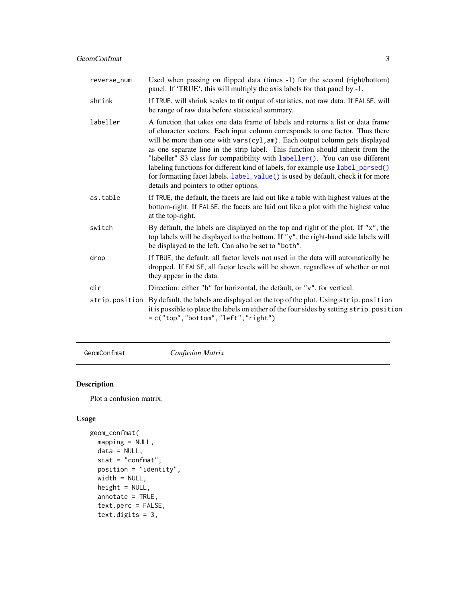<span id="page-2-0"></span>

| reverse_num    | Used when passing on flipped data (times -1) for the second (right/bottom)<br>panel. If 'TRUE', this will multiply the axis labels for that panel by -1.                                                                                                                                                                                                                                                                                                                                                                                                                                                                           |
|----------------|------------------------------------------------------------------------------------------------------------------------------------------------------------------------------------------------------------------------------------------------------------------------------------------------------------------------------------------------------------------------------------------------------------------------------------------------------------------------------------------------------------------------------------------------------------------------------------------------------------------------------------|
| shrink         | If TRUE, will shrink scales to fit output of statistics, not raw data. If FALSE, will<br>be range of raw data before statistical summary.                                                                                                                                                                                                                                                                                                                                                                                                                                                                                          |
| labeller       | A function that takes one data frame of labels and returns a list or data frame<br>of character vectors. Each input column corresponds to one factor. Thus there<br>will be more than one with vars(cyl, am). Each output column gets displayed<br>as one separate line in the strip label. This function should inherit from the<br>"labeller" S3 class for compatibility with labeller(). You can use different<br>labeling functions for different kind of labels, for example use label_parsed()<br>for formatting facet labels. label_value() is used by default, check it for more<br>details and pointers to other options. |
| as.table       | If TRUE, the default, the facets are laid out like a table with highest values at the<br>bottom-right. If FALSE, the facets are laid out like a plot with the highest value<br>at the top-right.                                                                                                                                                                                                                                                                                                                                                                                                                                   |
| switch         | By default, the labels are displayed on the top and right of the plot. If "x", the<br>top labels will be displayed to the bottom. If "y", the right-hand side labels will<br>be displayed to the left. Can also be set to "both".                                                                                                                                                                                                                                                                                                                                                                                                  |
| drop           | If TRUE, the default, all factor levels not used in the data will automatically be<br>dropped. If FALSE, all factor levels will be shown, regardless of whether or not<br>they appear in the data.                                                                                                                                                                                                                                                                                                                                                                                                                                 |
| dir            | Direction: either " $h$ " for horizontal, the default, or " $v$ ", for vertical.                                                                                                                                                                                                                                                                                                                                                                                                                                                                                                                                                   |
| strip.position | By default, the labels are displayed on the top of the plot. Using strip.position<br>it is possible to place the labels on either of the four sides by setting strip. position<br>$=c("top", "bottom", "left", "right")$                                                                                                                                                                                                                                                                                                                                                                                                           |
|                |                                                                                                                                                                                                                                                                                                                                                                                                                                                                                                                                                                                                                                    |

GeomConfmat *Confusion Matrix*

### Description

Plot a confusion matrix.

```
geom_confmat(
 mapping = NULL,
 data = NULL,
 stat = "confmat",
 position = "identity",
 width = NULL,
 height = NULL,
 annotate = TRUE,
 text.perc = FALSE,
  text.digits = 3,
```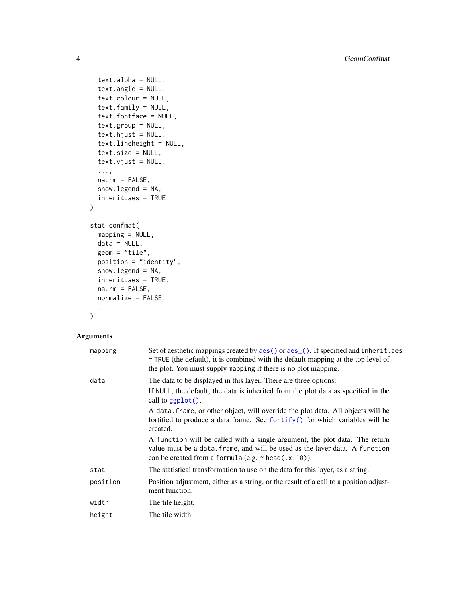```
text.alpha = NULL,
  text.angle = NULL,
  text.colour = NULL,
  text.family = NULL,
  text.fontface = NULL,
  text.group = NULL,
  text.hjust = NULL,
  text.lineheight = NULL,
  text.size = NULL,
  text.vjust = NULL,
  ...,
  na.rm = FALSE,show.legend = NA,
  inherit.aes = TRUE
)
stat_confmat(
 mapping = NULL,
 data = NULL,geom = "tile",
 position = "identity",
  show.legend = NA,
  inherit.aes = TRUE,
 na.rm = FALSE,
 normalize = FALSE,
  ...
\mathcal{L}
```

| mapping  | Set of aesthetic mappings created by aes () or aes (). If specified and inherit. aes<br>= TRUE (the default), it is combined with the default mapping at the top level of<br>the plot. You must supply mapping if there is no plot mapping. |
|----------|---------------------------------------------------------------------------------------------------------------------------------------------------------------------------------------------------------------------------------------------|
| data     | The data to be displayed in this layer. There are three options:                                                                                                                                                                            |
|          | If NULL, the default, the data is inherited from the plot data as specified in the<br>call to $ggplot()$ .                                                                                                                                  |
|          | A data. frame, or other object, will override the plot data. All objects will be<br>fortified to produce a data frame. See fortify() for which variables will be<br>created.                                                                |
|          | A function will be called with a single argument, the plot data. The return<br>value must be a data. frame, and will be used as the layer data. A function<br>can be created from a formula (e.g. $\sim$ head(.x, 10)).                     |
| stat     | The statistical transformation to use on the data for this layer, as a string.                                                                                                                                                              |
| position | Position adjustment, either as a string, or the result of a call to a position adjust-<br>ment function.                                                                                                                                    |
| width    | The tile height.                                                                                                                                                                                                                            |
| height   | The tile width.                                                                                                                                                                                                                             |

<span id="page-3-0"></span>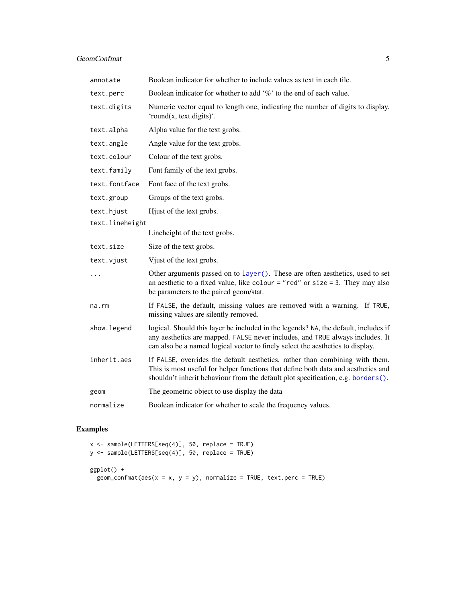<span id="page-4-0"></span>

| annotate        | Boolean indicator for whether to include values as text in each tile.                                                                                                                                                                                  |
|-----------------|--------------------------------------------------------------------------------------------------------------------------------------------------------------------------------------------------------------------------------------------------------|
| text.perc       | Boolean indicator for whether to add '%' to the end of each value.                                                                                                                                                                                     |
| text.digits     | Numeric vector equal to length one, indicating the number of digits to display.<br>'round(x, text.digits)'.                                                                                                                                            |
| text.alpha      | Alpha value for the text grobs.                                                                                                                                                                                                                        |
| text.angle      | Angle value for the text grobs.                                                                                                                                                                                                                        |
| text.colour     | Colour of the text grobs.                                                                                                                                                                                                                              |
| text.family     | Font family of the text grobs.                                                                                                                                                                                                                         |
| text.fontface   | Font face of the text grobs.                                                                                                                                                                                                                           |
| text.group      | Groups of the text grobs.                                                                                                                                                                                                                              |
| text.hjust      | Hjust of the text grobs.                                                                                                                                                                                                                               |
| text.lineheight |                                                                                                                                                                                                                                                        |
|                 | Lineheight of the text grobs.                                                                                                                                                                                                                          |
| text.size       | Size of the text grobs.                                                                                                                                                                                                                                |
| text.vjust      | Vjust of the text grobs.                                                                                                                                                                                                                               |
|                 | Other arguments passed on to layer (). These are often aesthetics, used to set<br>an aesthetic to a fixed value, like colour = "red" or size = 3. They may also<br>be parameters to the paired geom/stat.                                              |
| na.rm           | If FALSE, the default, missing values are removed with a warning. If TRUE,<br>missing values are silently removed.                                                                                                                                     |
| show.legend     | logical. Should this layer be included in the legends? NA, the default, includes if<br>any aesthetics are mapped. FALSE never includes, and TRUE always includes. It<br>can also be a named logical vector to finely select the aesthetics to display. |
| inherit.aes     | If FALSE, overrides the default aesthetics, rather than combining with them.<br>This is most useful for helper functions that define both data and aesthetics and<br>shouldn't inherit behaviour from the default plot specification, e.g. borders().  |
| geom            | The geometric object to use display the data                                                                                                                                                                                                           |
| normalize       | Boolean indicator for whether to scale the frequency values.                                                                                                                                                                                           |

## Examples

```
x <- sample(LETTERS[seq(4)], 50, replace = TRUE)
y <- sample(LETTERS[seq(4)], 50, replace = TRUE)
ggplot() +
 geom_confmat(aes(x = x, y = y), normalize = TRUE, text.perc = TRUE)
```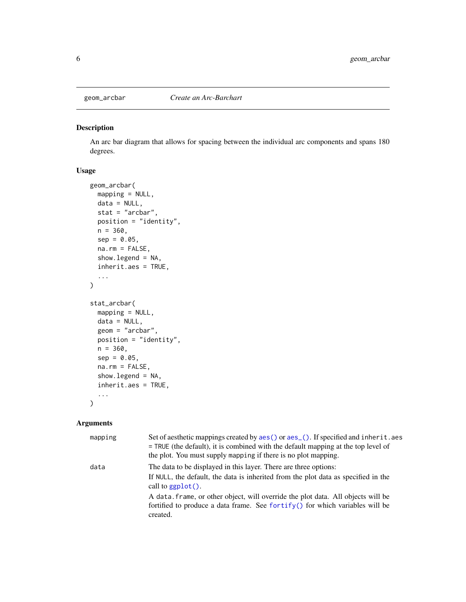<span id="page-5-0"></span>

#### Description

An arc bar diagram that allows for spacing between the individual arc components and spans 180 degrees.

#### Usage

```
geom_arcbar(
 mapping = NULL,
 data = NULL,
  stat = "arcbar",
 position = "identity",
 n = 360,sep = 0.05,na.rm = FALSE,
  show.legend = NA,
  inherit.aes = TRUE,
  ...
\mathcal{L}stat_arcbar(
 mapping = NULL,
 data = NULL,geom = "arcbar",
 position = "identity",
 n = 360,sep = 0.05,
 na.rm = FALSE,show.legend = NA,
  inherit.aes = TRUE,
  ...
\mathcal{L}
```

| mapping | Set of aesthetic mappings created by aes () or aes (). If specified and inherit. aes<br>$=$ TRUE (the default), it is combined with the default mapping at the top level of<br>the plot. You must supply mapping if there is no plot mapping. |
|---------|-----------------------------------------------------------------------------------------------------------------------------------------------------------------------------------------------------------------------------------------------|
| data    | The data to be displayed in this layer. There are three options:<br>If NULL, the default, the data is inherited from the plot data as specified in the<br>call to $ggplot()$ .                                                                |
|         | A data frame, or other object, will override the plot data. All objects will be<br>fortified to produce a data frame. See fortify() for which variables will be<br>created.                                                                   |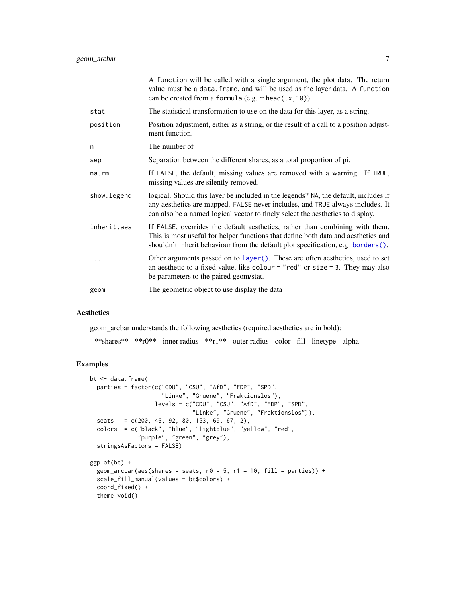<span id="page-6-0"></span>

|             | A function will be called with a single argument, the plot data. The return<br>value must be a data. frame, and will be used as the layer data. A function<br>can be created from a formula (e.g. $\sim$ head(.x, 10)).                                |
|-------------|--------------------------------------------------------------------------------------------------------------------------------------------------------------------------------------------------------------------------------------------------------|
| stat        | The statistical transformation to use on the data for this layer, as a string.                                                                                                                                                                         |
| position    | Position adjustment, either as a string, or the result of a call to a position adjust-<br>ment function.                                                                                                                                               |
| n           | The number of                                                                                                                                                                                                                                          |
| sep         | Separation between the different shares, as a total proportion of pi.                                                                                                                                                                                  |
| na.rm       | If FALSE, the default, missing values are removed with a warning. If TRUE,<br>missing values are silently removed.                                                                                                                                     |
| show.legend | logical. Should this layer be included in the legends? NA, the default, includes if<br>any aesthetics are mapped. FALSE never includes, and TRUE always includes. It<br>can also be a named logical vector to finely select the aesthetics to display. |
| inherit.aes | If FALSE, overrides the default aesthetics, rather than combining with them.<br>This is most useful for helper functions that define both data and aesthetics and<br>shouldn't inherit behaviour from the default plot specification, e.g. borders().  |
| .           | Other arguments passed on to layer (). These are often aesthetics, used to set<br>an aesthetic to a fixed value, like colour = "red" or size = 3. They may also<br>be parameters to the paired geom/stat.                                              |
| geom        | The geometric object to use display the data                                                                                                                                                                                                           |
|             |                                                                                                                                                                                                                                                        |

#### Aesthetics

geom\_arcbar understands the following aesthetics (required aesthetics are in bold):

- \*\*shares\*\* - \*\*r0\*\* - inner radius - \*\*r1\*\* - outer radius - color - fill - linetype - alpha

#### Examples

```
bt <- data.frame(
  parties = factor(c("CDU", "CSU", "AfD", "FDP", "SPD",
                     "Linke", "Gruene", "Fraktionslos"),
                   levels = c("CDU", "CSU", "AfD", "FDP", "SPD",
                              "Linke", "Gruene", "Fraktionslos")),
  seats = c(200, 46, 92, 80, 153, 69, 67, 2),
  colors = c("black", "blue", "lightblue", "yellow", "red",
              "purple", "green", "grey"),
  stringsAsFactors = FALSE)
ggplot(bt) +
  geom_arcbar(aes(shares = seats, r0 = 5, r1 = 10, fill = parties)) +
  scale_fill_manual(values = bt$colors) +
  coord_fixed() +
  theme_void()
```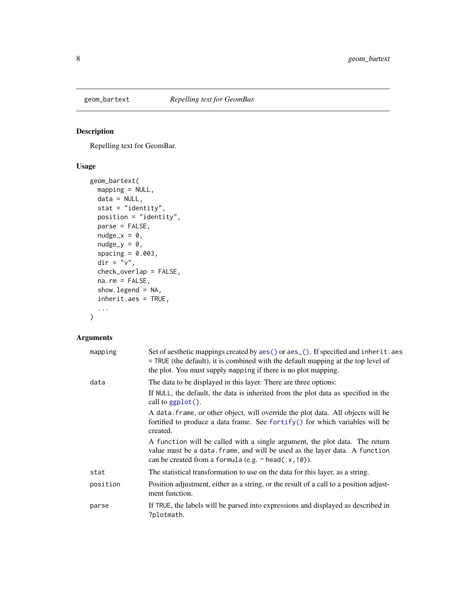<span id="page-7-0"></span>

#### Description

Repelling text for GeomBar.

#### Usage

```
geom_bartext(
  mapping = NULL,
  data = NULL,stat = "identity",
  position = "identity",
  parse = FALSE,
  nudge_x = 0,
  nudge_y = 0,
  spacing = 0.003,
  \operatorname{\mathsf{dir}} = "v",check_overlap = FALSE,
  na.rm = FALSE,
  show.legend = NA,
  inherit.aes = TRUE,
  ...
)
```

| mapping  | Set of aesthetic mappings created by aes() or aes_(). If specified and inherit.aes<br>= TRUE (the default), it is combined with the default mapping at the top level of<br>the plot. You must supply mapping if there is no plot mapping. |
|----------|-------------------------------------------------------------------------------------------------------------------------------------------------------------------------------------------------------------------------------------------|
| data     | The data to be displayed in this layer. There are three options:                                                                                                                                                                          |
|          | If NULL, the default, the data is inherited from the plot data as specified in the<br>call to $ggplot()$ .                                                                                                                                |
|          | A data frame, or other object, will override the plot data. All objects will be<br>fortified to produce a data frame. See for $\text{trify}()$ for which variables will be<br>created.                                                    |
|          | A function will be called with a single argument, the plot data. The return<br>value must be a data. frame, and will be used as the layer data. A function<br>can be created from a formula (e.g. $\sim$ head(.x, 10)).                   |
| stat     | The statistical transformation to use on the data for this layer, as a string.                                                                                                                                                            |
| position | Position adjustment, either as a string, or the result of a call to a position adjust-<br>ment function.                                                                                                                                  |
| parse    | If TRUE, the labels will be parsed into expressions and displayed as described in<br>?plotmath.                                                                                                                                           |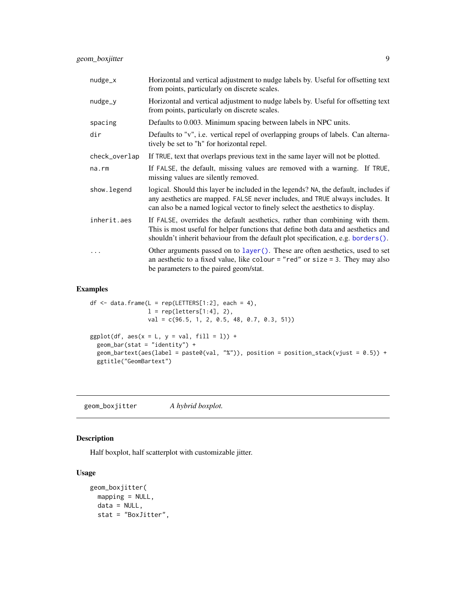<span id="page-8-0"></span>

| $nudge_x$     | Horizontal and vertical adjustment to nudge labels by. Useful for offsetting text<br>from points, particularly on discrete scales.                                                                                                                     |
|---------------|--------------------------------------------------------------------------------------------------------------------------------------------------------------------------------------------------------------------------------------------------------|
| $nudge_y$     | Horizontal and vertical adjustment to nudge labels by. Useful for offsetting text<br>from points, particularly on discrete scales.                                                                                                                     |
| spacing       | Defaults to 0.003. Minimum spacing between labels in NPC units.                                                                                                                                                                                        |
| dir           | Defaults to "v", i.e. vertical repel of overlapping groups of labels. Can alterna-<br>tively be set to "h" for horizontal repel.                                                                                                                       |
| check_overlap | If TRUE, text that overlaps previous text in the same layer will not be plotted.                                                                                                                                                                       |
| $na$ . $rm$   | If FALSE, the default, missing values are removed with a warning. If TRUE,<br>missing values are silently removed.                                                                                                                                     |
| show.legend   | logical. Should this layer be included in the legends? NA, the default, includes if<br>any aesthetics are mapped. FALSE never includes, and TRUE always includes. It<br>can also be a named logical vector to finely select the aesthetics to display. |
| inherit.aes   | If FALSE, overrides the default aesthetics, rather than combining with them.<br>This is most useful for helper functions that define both data and aesthetics and<br>shouldn't inherit behaviour from the default plot specification, e.g. borders().  |
|               | Other arguments passed on to layer (). These are often aesthetics, used to set<br>an aesthetic to a fixed value, like colour = "red" or size = 3. They may also<br>be parameters to the paired geom/stat.                                              |

#### Examples

```
df \leq data.frame(L = rep(LETTERS[1:2], each = 4),
                l = rep(leters[1:4], 2),val = c(96.5, 1, 2, 0.5, 48, 0.7, 0.3, 51))
ggplot(df, aes(x = L, y = val, fill = 1)) +geom\_bar(stat = "identity") +geom_bartext(aes(label = paste0(val, "%")), position = position_stack(vjust = 0.5)) +
  ggtitle("GeomBartext")
```
geom\_boxjitter *A hybrid boxplot.*

#### Description

Half boxplot, half scatterplot with customizable jitter.

```
geom_boxjitter(
 mapping = NULL,
 data = NULL,stat = "BoxJitter",
```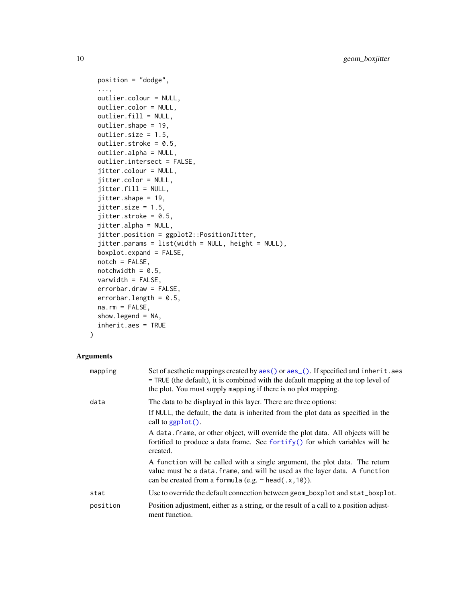```
position = "dodge",
...,
outlier.colour = NULL,
outlier.color = NULL,
outlier.fill = NULL,
outlier.shape = 19,
outlier.size = 1.5,
outlier.stroke = 0.5,
outlier.alpha = NULL,
outlier.intersect = FALSE,
jitter.colour = NULL,
jitter.color = NULL,
jitter.fill = NULL,
jitter.shape = 19,
jitter.size = 1.5,
jitter.stroke = 0.5,
jitter.alpha = NULL,
jitter.position = ggplot2::PositionJitter,
jitter.params = list(width = NULL, height = NULL),
boxplot.expand = FALSE,
notch = FALSE,
notchwidth = 0.5,
varwidth = FALSE,
errorbar.draw = FALSE,
errorbar.length = 0.5,
na.rm = FALSE,
show.legend = NA,
inherit.aes = TRUE
```
#### $\mathcal{L}$

| mapping  | Set of aesthetic mappings created by aes () or aes (). If specified and inherit. aes<br>= TRUE (the default), it is combined with the default mapping at the top level of<br>the plot. You must supply mapping if there is no plot mapping. |
|----------|---------------------------------------------------------------------------------------------------------------------------------------------------------------------------------------------------------------------------------------------|
| data     | The data to be displayed in this layer. There are three options:<br>If NULL, the default, the data is inherited from the plot data as specified in the<br>call to $ggplot()$ .                                                              |
|          | A data frame, or other object, will override the plot data. All objects will be<br>fortified to produce a data frame. See fortify() for which variables will be<br>created.                                                                 |
|          | A function will be called with a single argument, the plot data. The return<br>value must be a data. frame, and will be used as the layer data. A function<br>can be created from a formula (e.g. $\sim$ head(.x, 10)).                     |
| stat     | Use to override the default connection between geom_boxplot and stat_boxplot.                                                                                                                                                               |
| position | Position adjustment, either as a string, or the result of a call to a position adjust-<br>ment function.                                                                                                                                    |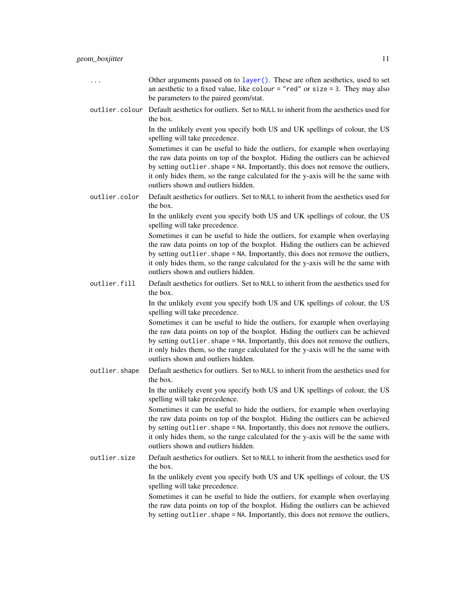- <span id="page-10-0"></span>... Other arguments passed on to [layer\(\)](#page-0-0). These are often aesthetics, used to set an aesthetic to a fixed value, like colour  $=$  "red" or size  $=$  3. They may also be parameters to the paired geom/stat.
- outlier.colour Default aesthetics for outliers. Set to NULL to inherit from the aesthetics used for the box.

In the unlikely event you specify both US and UK spellings of colour, the US spelling will take precedence.

Sometimes it can be useful to hide the outliers, for example when overlaying the raw data points on top of the boxplot. Hiding the outliers can be achieved by setting outlier. shape = NA. Importantly, this does not remove the outliers, it only hides them, so the range calculated for the y-axis will be the same with outliers shown and outliers hidden.

outlier.color Default aesthetics for outliers. Set to NULL to inherit from the aesthetics used for the box.

> In the unlikely event you specify both US and UK spellings of colour, the US spelling will take precedence.

> Sometimes it can be useful to hide the outliers, for example when overlaying the raw data points on top of the boxplot. Hiding the outliers can be achieved by setting outlier. shape = NA. Importantly, this does not remove the outliers, it only hides them, so the range calculated for the y-axis will be the same with outliers shown and outliers hidden.

outlier.fill Default aesthetics for outliers. Set to NULL to inherit from the aesthetics used for the box.

> In the unlikely event you specify both US and UK spellings of colour, the US spelling will take precedence.

> Sometimes it can be useful to hide the outliers, for example when overlaying the raw data points on top of the boxplot. Hiding the outliers can be achieved by setting outlier.shape = NA. Importantly, this does not remove the outliers, it only hides them, so the range calculated for the y-axis will be the same with outliers shown and outliers hidden.

outlier.shape Default aesthetics for outliers. Set to NULL to inherit from the aesthetics used for the box.

> In the unlikely event you specify both US and UK spellings of colour, the US spelling will take precedence.

> Sometimes it can be useful to hide the outliers, for example when overlaying the raw data points on top of the boxplot. Hiding the outliers can be achieved by setting outlier. shape = NA. Importantly, this does not remove the outliers, it only hides them, so the range calculated for the y-axis will be the same with outliers shown and outliers hidden.

outlier.size Default aesthetics for outliers. Set to NULL to inherit from the aesthetics used for the box.

> In the unlikely event you specify both US and UK spellings of colour, the US spelling will take precedence.

> Sometimes it can be useful to hide the outliers, for example when overlaying the raw data points on top of the boxplot. Hiding the outliers can be achieved by setting outlier. shape = NA. Importantly, this does not remove the outliers,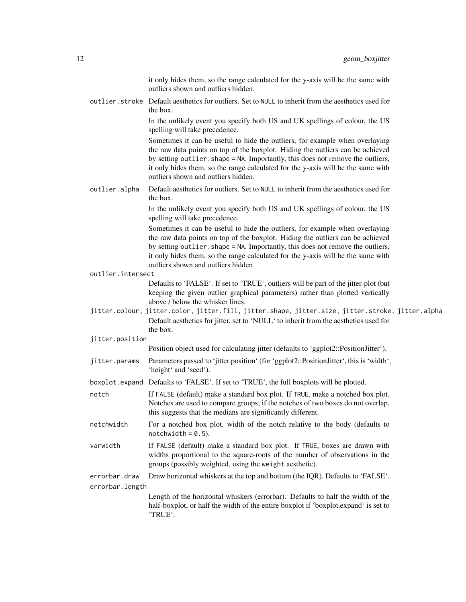it only hides them, so the range calculated for the y-axis will be the same with outliers shown and outliers hidden.

outlier.stroke Default aesthetics for outliers. Set to NULL to inherit from the aesthetics used for the box.

> In the unlikely event you specify both US and UK spellings of colour, the US spelling will take precedence.

> Sometimes it can be useful to hide the outliers, for example when overlaying the raw data points on top of the boxplot. Hiding the outliers can be achieved by setting outlier. shape = NA. Importantly, this does not remove the outliers, it only hides them, so the range calculated for the y-axis will be the same with outliers shown and outliers hidden.

outlier.alpha Default aesthetics for outliers. Set to NULL to inherit from the aesthetics used for the box.

> In the unlikely event you specify both US and UK spellings of colour, the US spelling will take precedence.

> Sometimes it can be useful to hide the outliers, for example when overlaying the raw data points on top of the boxplot. Hiding the outliers can be achieved by setting outlier.shape = NA. Importantly, this does not remove the outliers, it only hides them, so the range calculated for the y-axis will be the same with outliers shown and outliers hidden.

outlier.intersect

Defaults to 'FALSE'. If set to 'TRUE', outliers will be part of the jitter-plot (but keeping the given outlier graphical parameters) rather than plotted vertically above / below the whisker lines.

- jitter.colour, jitter.color, jitter.fill, jitter.shape, jitter.size, jitter.stroke, jitter.alpha Default aesthetics for jitter, set to 'NULL' to inherit from the aesthetics used for the box.
- jitter.position

```
Position object used for calculating jitter (defaults to 'ggplot2::PositionJitter').
```
- jitter.params Parameters passed to 'jitter.position' (for 'ggplot2::PositionJitter', this is 'width', 'height' and 'seed').
- boxplot.expand Defaults to 'FALSE'. If set to 'TRUE', the full boxplots will be plotted.
- notch If FALSE (default) make a standard box plot. If TRUE, make a notched box plot. Notches are used to compare groups; if the notches of two boxes do not overlap, this suggests that the medians are significantly different.
- notchwidth For a notched box plot, width of the notch relative to the body (defaults to  $notchwidth = 0.5$ ).
- varwidth If FALSE (default) make a standard box plot. If TRUE, boxes are drawn with widths proportional to the square-roots of the number of observations in the groups (possibly weighted, using the weight aesthetic).

errorbar.draw Draw horizontal whiskers at the top and bottom (the IQR). Defaults to 'FALSE'. errorbar.length

> Length of the horizontal whiskers (errorbar). Defaults to half the width of the half-boxplot, or half the width of the entire boxplot if 'boxplot.expand' is set to 'TRUE'.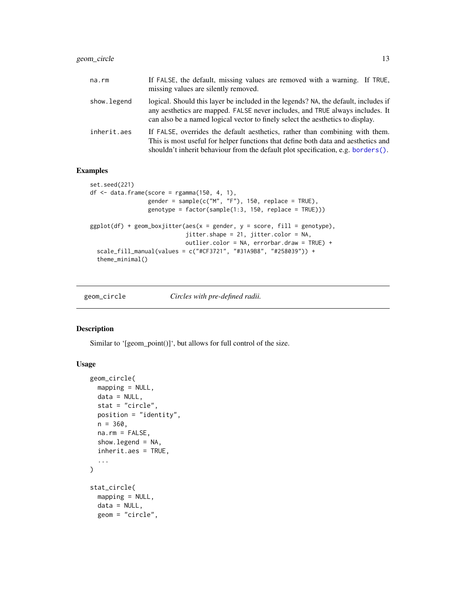#### <span id="page-12-0"></span>geom\_circle 13

| na.rm       | If FALSE, the default, missing values are removed with a warning. If TRUE,<br>missing values are silently removed.                                                                                                                                     |
|-------------|--------------------------------------------------------------------------------------------------------------------------------------------------------------------------------------------------------------------------------------------------------|
| show.legend | logical. Should this layer be included in the legends? NA, the default, includes if<br>any aesthetics are mapped. FALSE never includes, and TRUE always includes. It<br>can also be a named logical vector to finely select the aesthetics to display. |
| inherit.aes | If FALSE, overrides the default aesthetics, rather than combining with them.<br>This is most useful for helper functions that define both data and aesthetics and<br>shouldn't inherit behaviour from the default plot specification, e.g. borders().  |

#### Examples

```
set.seed(221)
df <- data.frame(score = rgamma(150, 4, 1),
                 gender = sample(c("M", "F"), 150, replace = TRUE),
                 genotype = factor(sample(1:3, 150, replace = TRUE)))
ggplot(df) + geom_boxjitter(aes(x = gender, y = score, fill = genotype),jitter.shape = 21, jitter.color = NA,
                            outlier.color = NA, errorbar.draw = TRUE) +
 scale_fill_manual(values = c("#CF3721", "#31A9B8", "#258039")) +
 theme_minimal()
```
geom\_circle *Circles with pre-defined radii.*

#### Description

Similar to '[geom\_point()]', but allows for full control of the size.

```
geom_circle(
 mapping = NULL,
  data = NULL,
  stat = "circle",
 position = "identity",
 n = 360,na.rm = FALSE,show.legend = NA,
  inherit.aes = TRUE,
  ...
\mathcal{L}stat_circle(
 mapping = NULL,
  data = NULL,geom = "circle",
```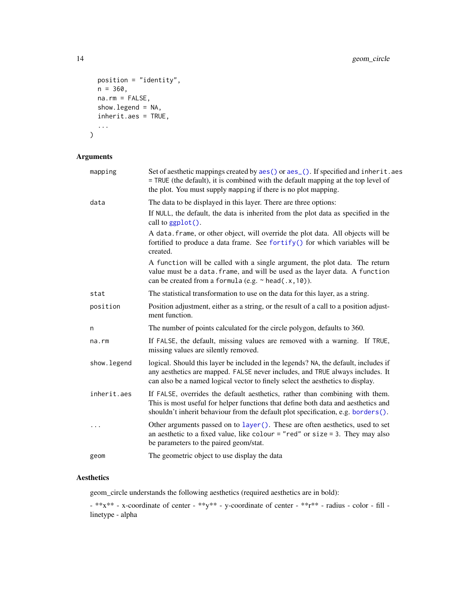```
position = "identity",
 n = 360,na.rm = FALSE,show.legend = NA,
 inherit.aes = TRUE,
  ...
\mathcal{L}
```
#### Arguments

| mapping     | Set of aesthetic mappings created by aes() or aes_(). If specified and inherit.aes<br>= TRUE (the default), it is combined with the default mapping at the top level of<br>the plot. You must supply mapping if there is no plot mapping.              |
|-------------|--------------------------------------------------------------------------------------------------------------------------------------------------------------------------------------------------------------------------------------------------------|
| data        | The data to be displayed in this layer. There are three options:                                                                                                                                                                                       |
|             | If NULL, the default, the data is inherited from the plot data as specified in the<br>call to ggplot().                                                                                                                                                |
|             | A data. frame, or other object, will override the plot data. All objects will be<br>fortified to produce a data frame. See fortify() for which variables will be<br>created.                                                                           |
|             | A function will be called with a single argument, the plot data. The return<br>value must be a data. frame, and will be used as the layer data. A function<br>can be created from a formula (e.g. $\sim$ head(.x, 10)).                                |
| stat        | The statistical transformation to use on the data for this layer, as a string.                                                                                                                                                                         |
| position    | Position adjustment, either as a string, or the result of a call to a position adjust-<br>ment function.                                                                                                                                               |
| n           | The number of points calculated for the circle polygon, defaults to 360.                                                                                                                                                                               |
| na.rm       | If FALSE, the default, missing values are removed with a warning. If TRUE,<br>missing values are silently removed.                                                                                                                                     |
| show.legend | logical. Should this layer be included in the legends? NA, the default, includes if<br>any aesthetics are mapped. FALSE never includes, and TRUE always includes. It<br>can also be a named logical vector to finely select the aesthetics to display. |
| inherit.aes | If FALSE, overrides the default aesthetics, rather than combining with them.<br>This is most useful for helper functions that define both data and aesthetics and<br>shouldn't inherit behaviour from the default plot specification, e.g. borders().  |
|             | Other arguments passed on to layer (). These are often aesthetics, used to set<br>an aesthetic to a fixed value, like colour = "red" or size = 3. They may also<br>be parameters to the paired geom/stat.                                              |
| geom        | The geometric object to use display the data                                                                                                                                                                                                           |

#### Aesthetics

geom\_circle understands the following aesthetics (required aesthetics are in bold):

- \*\*x\*\* - x-coordinate of center - \*\*y\*\* - y-coordinate of center - \*\*r\*\* - radius - color - fill linetype - alpha

<span id="page-13-0"></span>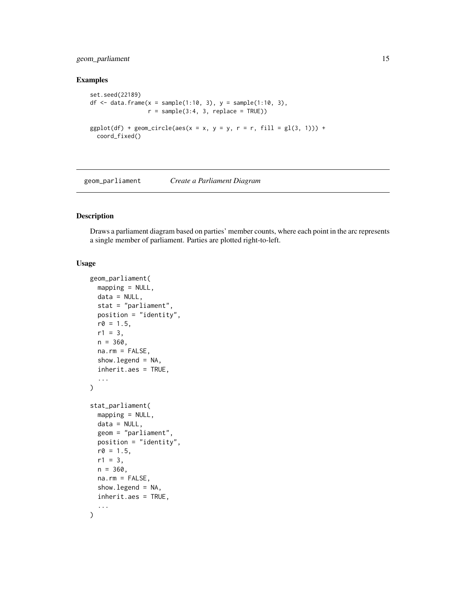#### <span id="page-14-0"></span>geom\_parliament 15

#### Examples

```
set.seed(22189)
df <- data.frame(x = sample(1:10, 3), y = sample(1:10, 3),
                 r = sample(3:4, 3, replace = TRUE))ggplot(df) + geom\_circle(aes(x = x, y = y, r = r, fill = gl(3, 1))) +coord_fixed()
```
geom\_parliament *Create a Parliament Diagram*

#### Description

Draws a parliament diagram based on parties' member counts, where each point in the arc represents a single member of parliament. Parties are plotted right-to-left.

```
geom_parliament(
 mapping = NULL,
  data = NULL,stat = "parliament",
 position = "identity",
 r0 = 1.5,
  r1 = 3,
 n = 360,na.rm = FALSE,show.legend = NA,
  inherit.aes = TRUE,
  ...
)
stat_parliament(
 mapping = NULL,
  data = NULL,geom = "parliament",
 position = "identity",
  r0 = 1.5,
  r1 = 3,
  n = 360.
  na.rm = FALSE,
  show.legend = NA,
  inherit.aes = TRUE,
  ...
\mathcal{L}
```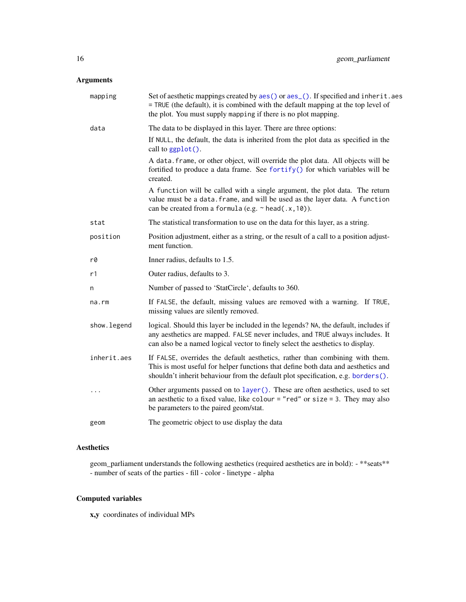#### <span id="page-15-0"></span>Arguments

| mapping     | Set of aesthetic mappings created by aes() or aes_(). If specified and inherit.aes<br>= TRUE (the default), it is combined with the default mapping at the top level of<br>the plot. You must supply mapping if there is no plot mapping.              |
|-------------|--------------------------------------------------------------------------------------------------------------------------------------------------------------------------------------------------------------------------------------------------------|
| data        | The data to be displayed in this layer. There are three options:                                                                                                                                                                                       |
|             | If NULL, the default, the data is inherited from the plot data as specified in the<br>call to ggplot().                                                                                                                                                |
|             | A data. frame, or other object, will override the plot data. All objects will be<br>fortified to produce a data frame. See fortify() for which variables will be<br>created.                                                                           |
|             | A function will be called with a single argument, the plot data. The return<br>value must be a data. frame, and will be used as the layer data. A function<br>can be created from a formula (e.g. $\sim$ head(.x, 10)).                                |
| stat        | The statistical transformation to use on the data for this layer, as a string.                                                                                                                                                                         |
| position    | Position adjustment, either as a string, or the result of a call to a position adjust-<br>ment function.                                                                                                                                               |
| r0          | Inner radius, defaults to 1.5.                                                                                                                                                                                                                         |
| r1          | Outer radius, defaults to 3.                                                                                                                                                                                                                           |
| n           | Number of passed to 'StatCircle', defaults to 360.                                                                                                                                                                                                     |
| $na$ . $rm$ | If FALSE, the default, missing values are removed with a warning. If TRUE,<br>missing values are silently removed.                                                                                                                                     |
| show.legend | logical. Should this layer be included in the legends? NA, the default, includes if<br>any aesthetics are mapped. FALSE never includes, and TRUE always includes. It<br>can also be a named logical vector to finely select the aesthetics to display. |
| inherit.aes | If FALSE, overrides the default aesthetics, rather than combining with them.<br>This is most useful for helper functions that define both data and aesthetics and<br>shouldn't inherit behaviour from the default plot specification, e.g. borders().  |
| $\cdots$    | Other arguments passed on to layer (). These are often aesthetics, used to set<br>an aesthetic to a fixed value, like colour = "red" or size = 3. They may also<br>be parameters to the paired geom/stat.                                              |
| geom        | The geometric object to use display the data                                                                                                                                                                                                           |
|             |                                                                                                                                                                                                                                                        |

#### Aesthetics

geom\_parliament understands the following aesthetics (required aesthetics are in bold): - \*\*seats\*\* - number of seats of the parties - fill - color - linetype - alpha

#### Computed variables

x,y coordinates of individual MPs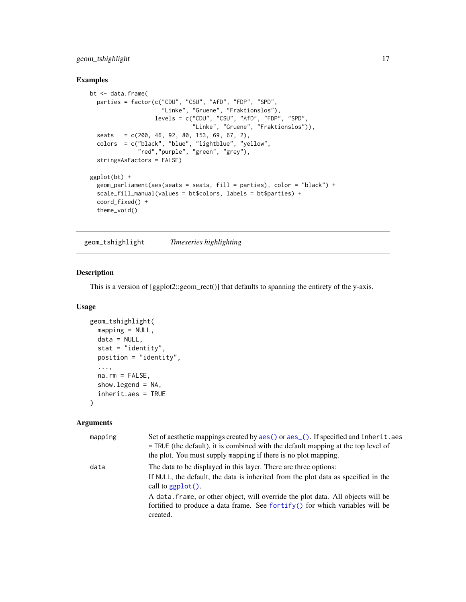#### <span id="page-16-0"></span>geom\_tshighlight 17

#### Examples

```
bt <- data.frame(
  parties = factor(c("CDU", "CSU", "AfD", "FDP", "SPD",
                     "Linke", "Gruene", "Fraktionslos"),
                   levels = c("CDU", "CSU", "AFD", "FDP", "SPD","Linke", "Gruene", "Fraktionslos")),
  seats = c(200, 46, 92, 80, 153, 69, 67, 2),
  colors = c("black", "blue", "lightblue", "yellow",
              "red","purple", "green", "grey"),
  stringsAsFactors = FALSE)
ggplot(bt) +
  geom_parliament(aes(seats = seats, fill = parties), color = "black") +
  scale_fill_manual(values = bt$colors, labels = bt$parties) +
  coord_fixed() +
  theme_void()
```
geom\_tshighlight *Timeseries highlighting*

#### Description

This is a version of [ggplot2::geom\_rect()] that defaults to spanning the entirety of the y-axis.

#### Usage

```
geom_tshighlight(
  mapping = NULL,
  data = NULL,
  stat = "identity",
  position = "identity",
  ...,
 na.rm = FALSE,
  show.legend = NA,
  inherit.aes = TRUE
\lambda
```

| mapping | Set of aesthetic mappings created by aes () or aes (). If specified and inherit. aes<br>$=$ TRUE (the default), it is combined with the default mapping at the top level of<br>the plot. You must supply mapping if there is no plot mapping. |
|---------|-----------------------------------------------------------------------------------------------------------------------------------------------------------------------------------------------------------------------------------------------|
| data    | The data to be displayed in this layer. There are three options:<br>If NULL, the default, the data is inherited from the plot data as specified in the<br>call to $ggplot()$ .                                                                |
|         | A data frame, or other object, will override the plot data. All objects will be<br>fortified to produce a data frame. See fortify() for which variables will be<br>created.                                                                   |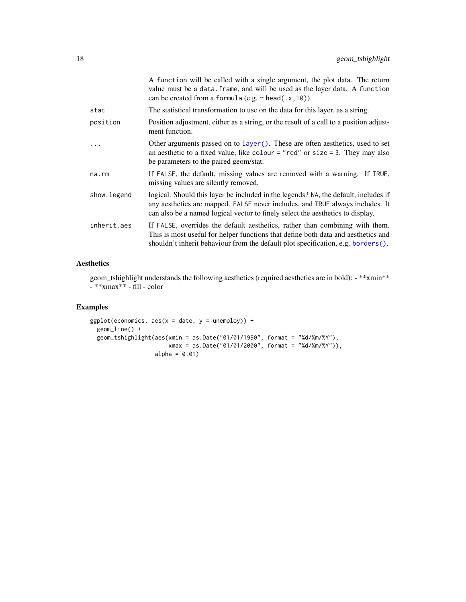<span id="page-17-0"></span>

|             | A function will be called with a single argument, the plot data. The return<br>value must be a data. frame, and will be used as the layer data. A function<br>can be created from a formula (e.g. $\sim$ head(.x, 10)).                                |
|-------------|--------------------------------------------------------------------------------------------------------------------------------------------------------------------------------------------------------------------------------------------------------|
| stat        | The statistical transformation to use on the data for this layer, as a string.                                                                                                                                                                         |
| position    | Position adjustment, either as a string, or the result of a call to a position adjust-<br>ment function.                                                                                                                                               |
|             | Other arguments passed on to layer(). These are often aesthetics, used to set<br>an aesthetic to a fixed value, like colour = "red" or size = 3. They may also<br>be parameters to the paired geom/stat.                                               |
| na.rm       | If FALSE, the default, missing values are removed with a warning. If TRUE,<br>missing values are silently removed.                                                                                                                                     |
| show.legend | logical. Should this layer be included in the legends? NA, the default, includes if<br>any aesthetics are mapped. FALSE never includes, and TRUE always includes. It<br>can also be a named logical vector to finely select the aesthetics to display. |
| inherit.aes | If FALSE, overrides the default aesthetics, rather than combining with them.<br>This is most useful for helper functions that define both data and aesthetics and<br>shouldn't inherit behaviour from the default plot specification, e.g. borders().  |

#### Aesthetics

geom\_tshighlight understands the following aesthetics (required aesthetics are in bold): - \*\*xmin\*\* - \*\*xmax\*\* - fill - color

#### Examples

```
ggplot(economics, aes(x = date, y = unempty)) +geom_line() +
  geom_tshighlight(aes(xmin = as.Date("01/01/1990", format = "%d/%m/%Y"),
                       xmax = as.Date("01/01/2000", format = "%d/%m/%Y")),
                  alpha = 0.01)
```